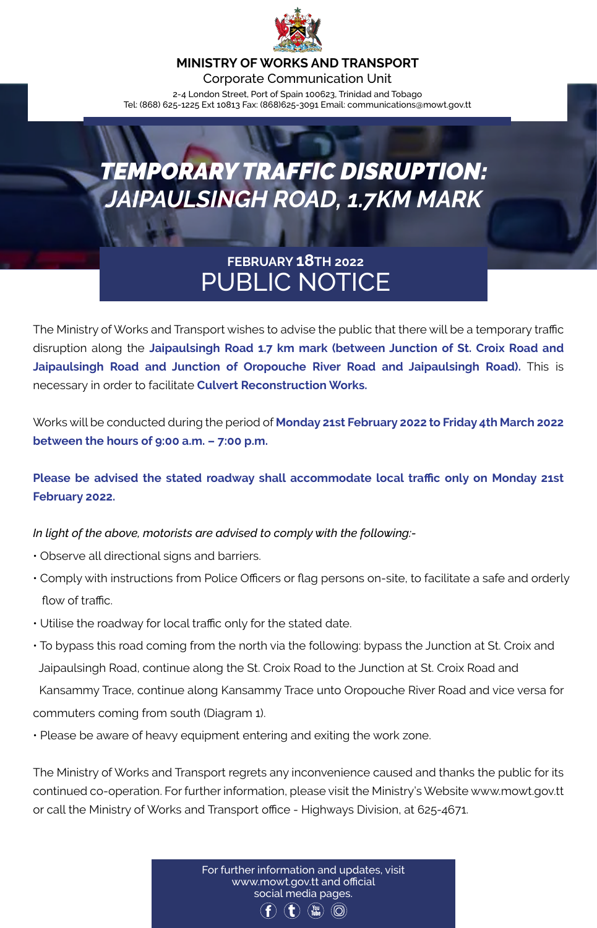

#### **MINISTRY OF WORKS AND TRANSPORT**

Corporate Communication Unit 2-4 London Street, Port of Spain 100623, Trinidad and Tobago Tel: (868) 625-1225 Ext 10813 Fax: (868)625-3091 Email: communications@mowt.gov.tt

# *TEMPORARY TRAFFIC DISRUPTION: JAIPAULSINGH ROAD, 1.7KM MARK*

### **FEBRUARY 18TH 2022** PUBLIC NOTICE

The Ministry of Works and Transport wishes to advise the public that there will be a temporary traffic disruption along the **Jaipaulsingh Road 1.7 km mark (between Junction of St. Croix Road and Jaipaulsingh Road and Junction of Oropouche River Road and Jaipaulsingh Road).** This is necessary in order to facilitate **Culvert Reconstruction Works.** 

Works will be conducted during the period of **Monday 21st February 2022 to Friday 4th March 2022 between the hours of 9:00 a.m. – 7:00 p.m.** 

**Please be advised the stated roadway shall accommodate local traffic only on Monday 21st February 2022.** 

*In light of the above, motorists are advised to comply with the following:-*

- Observe all directional signs and barriers.
- Comply with instructions from Police Officers or flag persons on-site, to facilitate a safe and orderly flow of traffic.
- Utilise the roadway for local traffic only for the stated date.
- To bypass this road coming from the north via the following: bypass the Junction at St. Croix and Jaipaulsingh Road, continue along the St. Croix Road to the Junction at St. Croix Road and

 Kansammy Trace, continue along Kansammy Trace unto Oropouche River Road and vice versa for commuters coming from south (Diagram 1).

• Please be aware of heavy equipment entering and exiting the work zone.

The Ministry of Works and Transport regrets any inconvenience caused and thanks the public for its continued co-operation. For further information, please visit the Ministry's Website www.mowt.gov.tt or call the Ministry of Works and Transport office - Highways Division, at 625-4671.